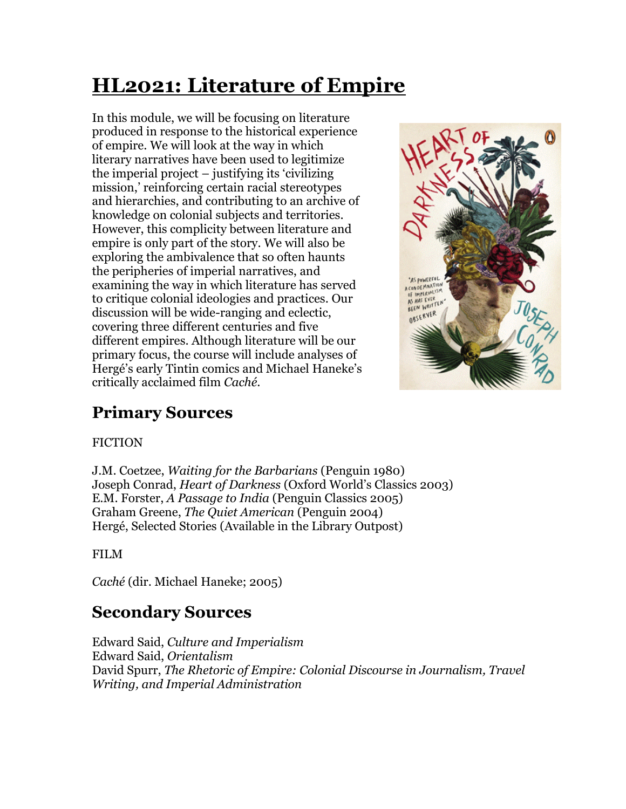# **HL2021: Literature of Empire**

In this module, we will be focusing on literature produced in response to the historical experience of empire. We will look at the way in which literary narratives have been used to legitimize the imperial project – justifying its 'civilizing mission,' reinforcing certain racial stereotypes and hierarchies, and contributing to an archive of knowledge on colonial subjects and territories. However, this complicity between literature and empire is only part of the story. We will also be exploring the ambivalence that so often haunts the peripheries of imperial narratives, and examining the way in which literature has served to critique colonial ideologies and practices. Our discussion will be wide-ranging and eclectic, covering three different centuries and five different empires. Although literature will be our primary focus, the course will include analyses of Hergé's early Tintin comics and Michael Haneke's critically acclaimed film *Caché*.



# **Primary Sources**

#### **FICTION**

J.M. Coetzee, *Waiting for the Barbarians* (Penguin 1980) Joseph Conrad, *Heart of Darkness* (Oxford World's Classics 2003) E.M. Forster, *A Passage to India* (Penguin Classics 2005) Graham Greene, *The Quiet American* (Penguin 2004) Hergé, Selected Stories (Available in the Library Outpost)

#### FILM

*Caché* (dir. Michael Haneke; 2005)

# **Secondary Sources**

Edward Said, *Culture and Imperialism* Edward Said, *Orientalism* David Spurr, *The Rhetoric of Empire: Colonial Discourse in Journalism, Travel Writing, and Imperial Administration*